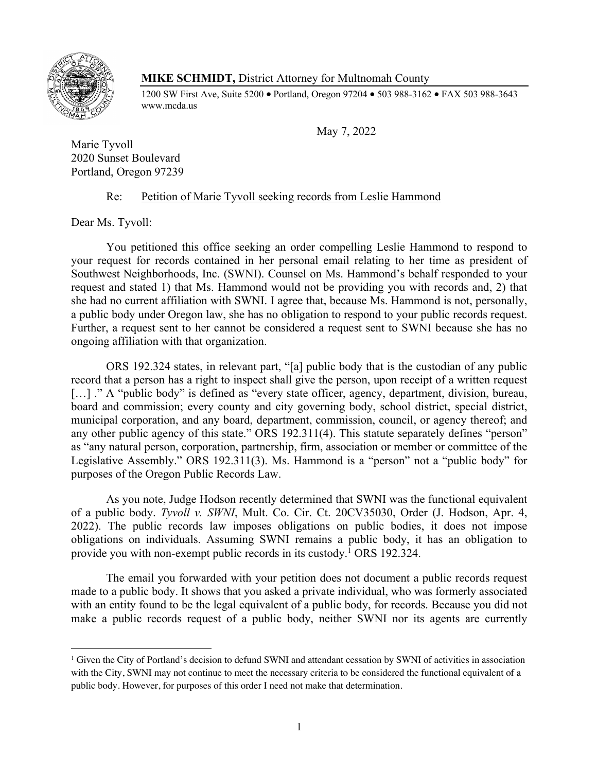

## **MIKE SCHMIDT,** District Attorney for Multnomah County

1200 SW First Ave, Suite 5200 • Portland, Oregon 97204 • 503 988-3162 • FAX 503 988-3643 www.mcda.us

May 7, 2022

Marie Tyvoll 2020 Sunset Boulevard Portland, Oregon 97239

## Re: Petition of Marie Tyvoll seeking records from Leslie Hammond

Dear Ms. Tyvoll:

You petitioned this office seeking an order compelling Leslie Hammond to respond to your request for records contained in her personal email relating to her time as president of Southwest Neighborhoods, Inc. (SWNI). Counsel on Ms. Hammond's behalf responded to your request and stated 1) that Ms. Hammond would not be providing you with records and, 2) that she had no current affiliation with SWNI. I agree that, because Ms. Hammond is not, personally, a public body under Oregon law, she has no obligation to respond to your public records request. Further, a request sent to her cannot be considered a request sent to SWNI because she has no ongoing affiliation with that organization.

ORS 192.324 states, in relevant part, "[a] public body that is the custodian of any public record that a person has a right to inspect shall give the person, upon receipt of a written request [...] ." A "public body" is defined as "every state officer, agency, department, division, bureau, board and commission; every county and city governing body, school district, special district, municipal corporation, and any board, department, commission, council, or agency thereof; and any other public agency of this state." ORS 192.311(4). This statute separately defines "person" as "any natural person, corporation, partnership, firm, association or member or committee of the Legislative Assembly." ORS 192.311(3). Ms. Hammond is a "person" not a "public body" for purposes of the Oregon Public Records Law.

As you note, Judge Hodson recently determined that SWNI was the functional equivalent of a public body. *Tyvoll v. SWNI*, Mult. Co. Cir. Ct. 20CV35030, Order (J. Hodson, Apr. 4, 2022). The public records law imposes obligations on public bodies, it does not impose obligations on individuals. Assuming SWNI remains a public body, it has an obligation to provide you with non-exempt public records in its custody.1 ORS 192.324.

The email you forwarded with your petition does not document a public records request made to a public body. It shows that you asked a private individual, who was formerly associated with an entity found to be the legal equivalent of a public body, for records. Because you did not make a public records request of a public body, neither SWNI nor its agents are currently

<sup>&</sup>lt;sup>1</sup> Given the City of Portland's decision to defund SWNI and attendant cessation by SWNI of activities in association with the City, SWNI may not continue to meet the necessary criteria to be considered the functional equivalent of a public body. However, for purposes of this order I need not make that determination.